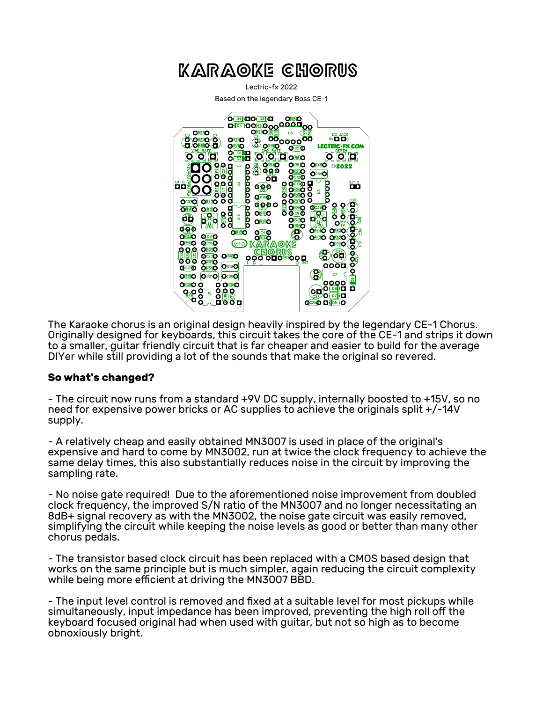<span id="page-0-0"></span>

The Karaoke chorus is an original design heavily inspired by the legendary CE-1 Chorus. Originally designed for keyboards, this circuit takes the core of the CE-1 and strips it down to a smaller, guitar friendly circuit that is far cheaper and easier to build for the average DIYer while still providing a lot of the sounds that make the original so revered.

## **So what's changed?**

- The circuit now runs from a standard +9V DC supply, internally boosted to +15V, so no need for expensive power bricks or AC supplies to achieve the originals split +/-14V supply.

- A relatively cheap and easily obtained MN3007 is used in place of the original's expensive and hard to come by MN3002, run at twice the clock frequency to achieve the same delay times, this also substantially reduces noise in the circuit by improving the sampling rate.

- No noise gate required! Due to the aforementioned noise improvement from doubled clock frequency, the improved S/N ratio of the MN3007 and no longer necessitating an 8dB+ signal recovery as with the MN3002, the noise gate circuit was easily removed, simplifying the circuit while keeping the noise levels as good or better than many other chorus pedals.

- The transistor based clock circuit has been replaced with a CMOS based design that works on the same principle but is much simpler, again reducing the circuit complexity while being more efficient at driving the MN3007 BBD.

- The input level control is removed and fixed at a suitable level for most pickups while simultaneously, input impedance has been improved, preventing the high roll off the keyboard focused original had when used with guitar, but not so high as to become obnoxiously bright.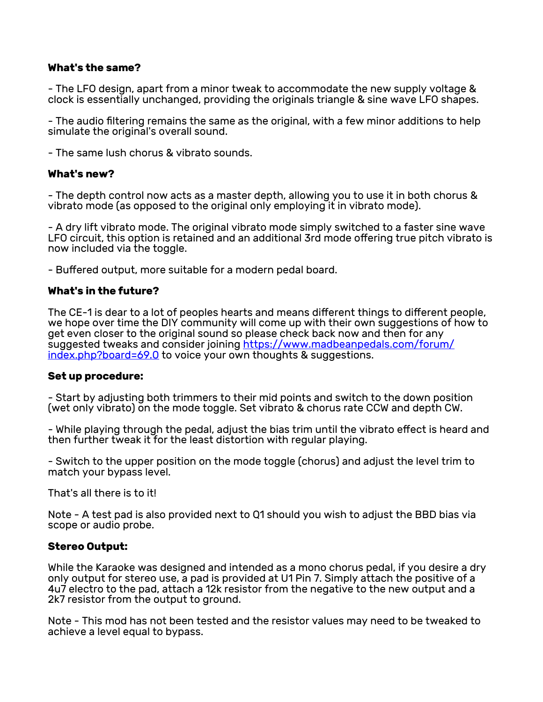## **What's the same?**

- The LFO design, apart from a minor tweak to accommodate the new supply voltage & clock is essentially unchanged, providing the originals triangle & sine wave LFO shapes.

- The audio filtering remains the same as the original, with a few minor additions to help simulate the original's overall sound.

- The same lush chorus & vibrato sounds.

## **What's new?**

- The depth control now acts as a master depth, allowing you to use it in both chorus & vibrato mode (as opposed to the original only employing it in vibrato mode).

- A dry lift vibrato mode. The original vibrato mode simply switched to a faster sine wave LFO circuit, this option is retained and an additional 3rd mode offering true pitch vibrato is now included via the toggle.

- Buffered output, more suitable for a modern pedal board.

## **What's in the future?**

The CE-1 is dear to a lot of peoples hearts and means different things to different people, we hope over time the DIY community will come up with their own suggestions of how to get even closer to the original sound so please check back now and then for any suggested tweaks and consider joining [https://www.madbeanpedals.com/forum/](#page-0-0) [index.php?board=69.0](#page-0-0) to voice your own thoughts & suggestions.

#### **Set up procedure:**

- Start by adjusting both trimmers to their mid points and switch to the down position (wet only vibrato) on the mode toggle. Set vibrato & chorus rate CCW and depth CW.

- While playing through the pedal, adjust the bias trim until the vibrato effect is heard and then further tweak it for the least distortion with regular playing.

- Switch to the upper position on the mode toggle (chorus) and adjust the level trim to match your bypass level.

That's all there is to it!

Note - A test pad is also provided next to Q1 should you wish to adjust the BBD bias via scope or audio probe.

## **Stereo Output:**

While the Karaoke was designed and intended as a mono chorus pedal, if you desire a dry only output for stereo use, a pad is provided at U1 Pin 7. Simply attach the positive of a 4u7 electro to the pad, attach a 12k resistor from the negative to the new output and a 2k7 resistor from the output to ground.

Note - This mod has not been tested and the resistor values may need to be tweaked to achieve a level equal to bypass.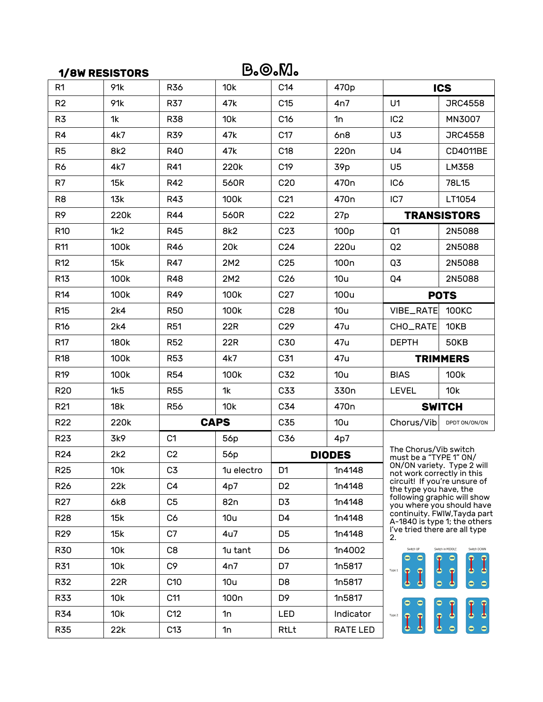|                 | B.©.M.<br><b>1/8W RESISTORS</b> |                 |                  |                 |                  |                                                                                                                                                                                                                                                                                                                                          |                    |
|-----------------|---------------------------------|-----------------|------------------|-----------------|------------------|------------------------------------------------------------------------------------------------------------------------------------------------------------------------------------------------------------------------------------------------------------------------------------------------------------------------------------------|--------------------|
| R <sub>1</sub>  | 91k                             | <b>R36</b>      | 10k              | C14             | 470p             | <b>ICS</b>                                                                                                                                                                                                                                                                                                                               |                    |
| R <sub>2</sub>  | 91k                             | R37             | 47k              | C <sub>15</sub> | 4n7              | U <sub>1</sub>                                                                                                                                                                                                                                                                                                                           | <b>JRC4558</b>     |
| R3              | 1k                              | <b>R38</b>      | 10k              | C <sub>16</sub> | 1n               | IC <sub>2</sub>                                                                                                                                                                                                                                                                                                                          | MN3007             |
| R4              | 4k7                             | <b>R39</b>      | 47k              | C17             | 6n8              | U3                                                                                                                                                                                                                                                                                                                                       | <b>JRC4558</b>     |
| R <sub>5</sub>  | 8k2                             | <b>R40</b>      | 47k              | C <sub>18</sub> | 220 <sub>n</sub> | U <sub>4</sub>                                                                                                                                                                                                                                                                                                                           | CD4011BE           |
| R6              | 4k7                             | R41             | 220k             | C19             | 39 <sub>p</sub>  | U <sub>5</sub>                                                                                                                                                                                                                                                                                                                           | LM358              |
| R7              | 15k                             | R42             | 560R             | C <sub>20</sub> | 470 <sub>n</sub> | IC <sub>6</sub>                                                                                                                                                                                                                                                                                                                          | 78L15              |
| R <sub>8</sub>  | 13k                             | <b>R43</b>      | 100k             | C <sub>21</sub> | 470 <sub>n</sub> | IC7                                                                                                                                                                                                                                                                                                                                      | LT1054             |
| R <sub>9</sub>  | 220k                            | <b>R44</b>      | 560R             | C <sub>22</sub> | 27p              |                                                                                                                                                                                                                                                                                                                                          | <b>TRANSISTORS</b> |
| R <sub>10</sub> | 1k2                             | <b>R45</b>      | 8k2              | C <sub>23</sub> | 100 <sub>p</sub> | Q <sub>1</sub>                                                                                                                                                                                                                                                                                                                           | 2N5088             |
| R11             | 100k                            | <b>R46</b>      | 20 <sub>k</sub>  | C <sub>24</sub> | 220u             | Q2                                                                                                                                                                                                                                                                                                                                       | 2N5088             |
| R <sub>12</sub> | 15k                             | <b>R47</b>      | 2M2              | C <sub>25</sub> | 100 <sub>n</sub> | Q3                                                                                                                                                                                                                                                                                                                                       | 2N5088             |
| R13             | 100k                            | <b>R48</b>      | 2M2              | C <sub>26</sub> | 10u              | Q4                                                                                                                                                                                                                                                                                                                                       | 2N5088             |
| R <sub>14</sub> | 100k                            | <b>R49</b>      | 100k             | C27             | <b>100u</b>      | <b>POTS</b>                                                                                                                                                                                                                                                                                                                              |                    |
| R <sub>15</sub> | 2k4                             | <b>R50</b>      | 100k             | C28             | 10u              | VIBE_RATE                                                                                                                                                                                                                                                                                                                                | <b>100KC</b>       |
| R <sub>16</sub> | 2k4                             | <b>R51</b>      | 22R              | C <sub>29</sub> | 47u              | CHO_RATE                                                                                                                                                                                                                                                                                                                                 | 10KB               |
| R <sub>17</sub> | 180k                            | <b>R52</b>      | 22R              | C30             | 47u              | <b>DEPTH</b>                                                                                                                                                                                                                                                                                                                             | <b>50KB</b>        |
| R <sub>18</sub> | 100k                            | <b>R53</b>      | 4k7              | C31             | 47u              |                                                                                                                                                                                                                                                                                                                                          | <b>TRIMMERS</b>    |
| R <sub>19</sub> | 100k                            | <b>R54</b>      | 100k             | C32             | 10u              | <b>BIAS</b>                                                                                                                                                                                                                                                                                                                              | 100k               |
| R <sub>20</sub> | 1k5                             | <b>R55</b>      | 1k               | C33             | 330n             | <b>LEVEL</b>                                                                                                                                                                                                                                                                                                                             | 10k                |
| R <sub>21</sub> | 18k                             | <b>R56</b>      | 10k              | C34             | 470 <sub>n</sub> |                                                                                                                                                                                                                                                                                                                                          | <b>SWITCH</b>      |
| R <sub>22</sub> | 220k                            |                 | <b>CAPS</b>      | C35             | 10u              | Chorus/Vib                                                                                                                                                                                                                                                                                                                               | DPDT ON/ON/ON      |
| R <sub>23</sub> | 3k9                             | C <sub>1</sub>  | 56p              | C36             | 4p7              | The Chorus/Vib switch<br>must be a "TYPE 1" ON/<br>ON/ON variety. Type 2 will<br>not work correctly in this<br>circuit! If you're unsure of<br>the type you have, the<br>following graphic will show<br>you where you should have<br>continuity. FWIW, Tayda part<br>A-1840 is type 1; the others<br>I've tried there are all type<br>2. |                    |
| R <sub>24</sub> | 2k2                             | C <sub>2</sub>  | 56p              |                 | <b>DIODES</b>    |                                                                                                                                                                                                                                                                                                                                          |                    |
| R <sub>25</sub> | 10k                             | C <sub>3</sub>  | 1u electro       | D1              | 1n4148           |                                                                                                                                                                                                                                                                                                                                          |                    |
| R <sub>26</sub> | 22k                             | C <sub>4</sub>  | 4p7              | D <sub>2</sub>  | 1n4148           |                                                                                                                                                                                                                                                                                                                                          |                    |
| R <sub>27</sub> | 6k8                             | C <sub>5</sub>  | 82 <sub>n</sub>  | D <sub>3</sub>  | 1n4148           |                                                                                                                                                                                                                                                                                                                                          |                    |
| <b>R28</b>      | 15k                             | C6              | 10u              | D <sub>4</sub>  | 1n4148           |                                                                                                                                                                                                                                                                                                                                          |                    |
| R <sub>29</sub> | 15k                             | C7              | 4u7              | D <sub>5</sub>  | 1n4148           |                                                                                                                                                                                                                                                                                                                                          |                    |
| <b>R30</b>      | 10k                             | C <sub>8</sub>  | 1u tant          | D6              | 1n4002           | Switch UP<br>Switch in MIDDLE<br>Switch DOWN                                                                                                                                                                                                                                                                                             |                    |
| R31             | 10k                             | C9              | 4n7              | D7              | 1n5817           | ه<br>ه<br>Type 1<br>P                                                                                                                                                                                                                                                                                                                    |                    |
| <b>R32</b>      | 22R                             | C <sub>10</sub> | 10u              | D8              | 1n5817           | P<br>$\bullet$<br>ہ<br>$\bullet$                                                                                                                                                                                                                                                                                                         | $\bullet$          |
| <b>R33</b>      | 10k                             | C11             | 100 <sub>n</sub> | D <sub>9</sub>  | 1n5817           | 0<br>Ф<br>$\mathbf{r}$<br>Type 2<br>I<br>P<br>$\bullet$<br>●.                                                                                                                                                                                                                                                                            |                    |
| <b>R34</b>      | 10k                             | C12             | 1n               | LED             | Indicator        |                                                                                                                                                                                                                                                                                                                                          |                    |
| <b>R35</b>      | 22k                             | C13             | 1n               | RtLt            | RATE LED         |                                                                                                                                                                                                                                                                                                                                          |                    |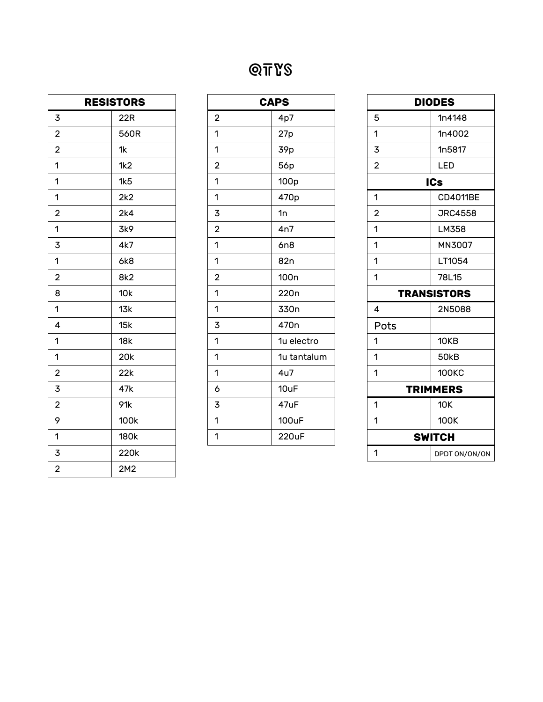# QTYs

| <b>RESISTORS</b>        |                 |  |  |
|-------------------------|-----------------|--|--|
| 3                       | 22R             |  |  |
| $\overline{\mathbf{c}}$ | 560R            |  |  |
| $\overline{\mathbf{c}}$ | 1k              |  |  |
| 1                       | 1k2             |  |  |
| 1                       | 1k5             |  |  |
| 1                       | 2k2             |  |  |
| $\overline{2}$          | 2k4             |  |  |
| 1                       | 3k9             |  |  |
| 3                       | 4k7             |  |  |
| 1                       | 6k8             |  |  |
| $\overline{2}$          | 8k <sub>2</sub> |  |  |
| 8                       | 10k             |  |  |
| 1                       | 13k             |  |  |
| 4                       | 15k             |  |  |
| 1                       | 18k             |  |  |
| 1                       | 20k             |  |  |
| $\overline{\mathbf{c}}$ | 22k             |  |  |
| 3                       | 47k             |  |  |
| $\overline{2}$          | 91k             |  |  |
| 9                       | 100k            |  |  |
| 1                       | 180k            |  |  |
| 3                       | 220k            |  |  |
| $\overline{\mathbf{c}}$ | 2M2             |  |  |

| <b>CAPS</b>             |                  |  |  |  |
|-------------------------|------------------|--|--|--|
| $\overline{\mathbf{c}}$ | 4p7              |  |  |  |
| 1                       | 27p              |  |  |  |
| 1                       | 39p              |  |  |  |
| $\overline{2}$          | 56p              |  |  |  |
| 1                       | 100 <sub>p</sub> |  |  |  |
| 1                       | 470p             |  |  |  |
| 3                       | 1n               |  |  |  |
| $\overline{\mathbf{c}}$ | 4n7              |  |  |  |
| 1                       | 6n8              |  |  |  |
| 1                       | 82 <sub>n</sub>  |  |  |  |
| $\overline{\mathbf{c}}$ | 100 <sub>n</sub> |  |  |  |
| 1                       | 220 <sub>n</sub> |  |  |  |
| 1                       | 330n             |  |  |  |
| 3                       | 470 <sub>n</sub> |  |  |  |
| 1                       | 1u electro       |  |  |  |
| 1                       | 1u tantalum      |  |  |  |
| 1                       | 4u7              |  |  |  |
| 6                       | 10uF             |  |  |  |
| 3                       | 47uF             |  |  |  |
| 1                       | <b>100uF</b>     |  |  |  |
| 1                       | 220uF            |  |  |  |

| <b>DIODES</b>      |                 |  |  |  |
|--------------------|-----------------|--|--|--|
| 5                  | 1n4148          |  |  |  |
| 1                  | 1n4002          |  |  |  |
| 3                  | 1n5817          |  |  |  |
| $\overline{2}$     | LED             |  |  |  |
| <b>ICs</b>         |                 |  |  |  |
| 1                  | <b>CD4011BE</b> |  |  |  |
| $\overline{2}$     | <b>JRC4558</b>  |  |  |  |
| 1                  | LM358           |  |  |  |
| 1                  | MN3007          |  |  |  |
| 1                  | LT1054          |  |  |  |
| 1                  | 78L15           |  |  |  |
| <b>TRANSISTORS</b> |                 |  |  |  |
| 4                  | 2N5088          |  |  |  |
| Pots               |                 |  |  |  |
| 1                  | 10KB            |  |  |  |
| 1                  | <b>50kB</b>     |  |  |  |
| 1                  | <b>100KC</b>    |  |  |  |
| <b>TRIMMERS</b>    |                 |  |  |  |
| 1                  | 10K             |  |  |  |
| 1                  | 100K            |  |  |  |
| <b>SWITCH</b>      |                 |  |  |  |
| 1                  | DPDT ON/ON/ON   |  |  |  |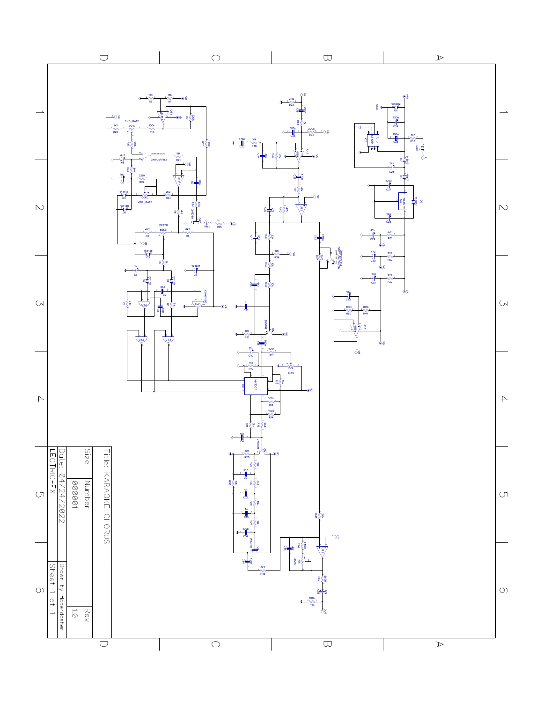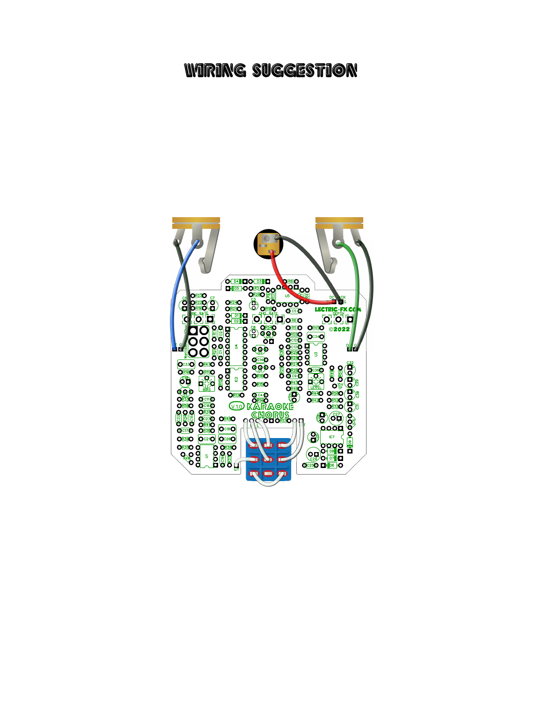## WIRING SUGGESTION